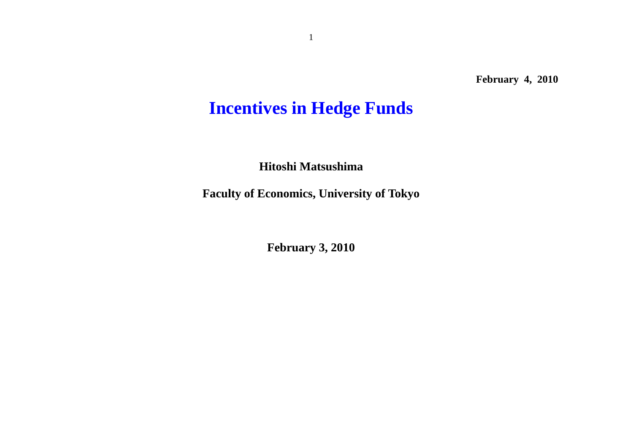# **Incentives in Hedge Funds**

**Hitoshi Matsushima** 

**Faculty of Economics, University of Tokyo** 

**February 3, 2010**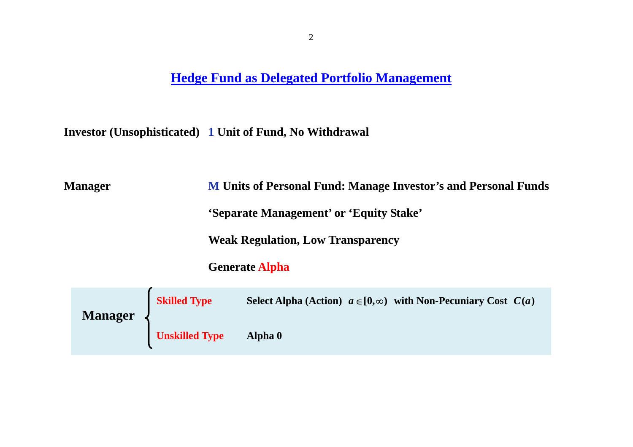### **Hedge Fund as Delegated Portfolio Management**

**Investor (Unsophisticated) 1 Unit of Fund, No Withdrawal** 

**Manager M Units of Personal Fund: Manage Investor's and Personal Funds 'Separate Management' or 'Equity Stake'**

**Weak Regulation, Low Transparency** 

 **Generate Alpha** 

| <b>Manager</b> | <b>Skilled Type</b>   | Select Alpha (Action) $a \in [0,\infty)$ with Non-Pecuniary Cost $C(a)$ |
|----------------|-----------------------|-------------------------------------------------------------------------|
|                | <b>Unskilled Type</b> | Alpha 0                                                                 |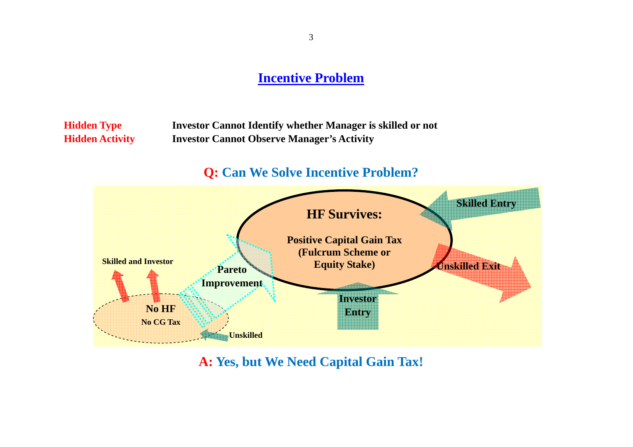#### **Incentive Problem**

**Hidden Type Investor Cannot Identify whether Manager is skilled or not Hidden Activity Investor Cannot Observe Manager's Activity** 

### **Q: Can We Solve Incentive Problem?**



**A: Yes, but We Need Capital Gain Tax!**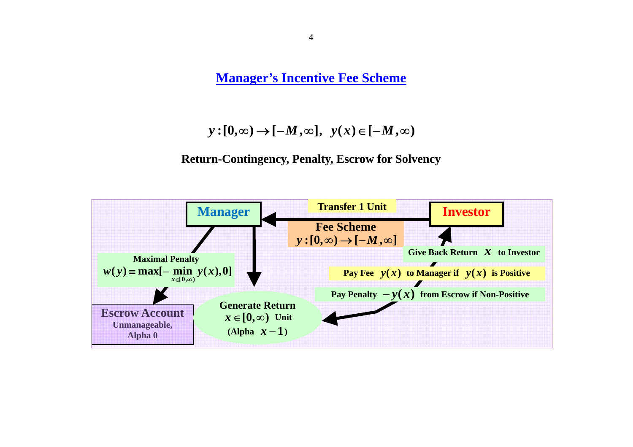**Manager's Incentive Fee Scheme**

 $y:[0,\infty) \to [-M,\infty], y(x) \in [-M,\infty)$ 

#### **Return-Contingency, Penalty, Escrow for Solvency**

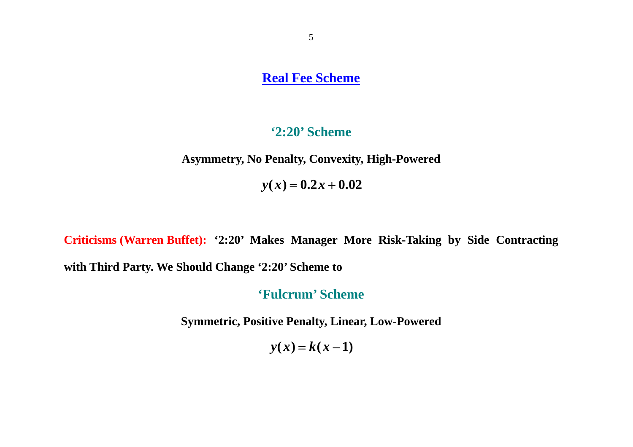**Real Fee Scheme**

#### **'2:20' Scheme**

**Asymmetry, No Penalty, Convexity, High-Powered**

 $y(x) = 0.2x + 0.02$ 

**Criticisms (Warren Buffet): '2:20' Makes Manager More Risk-Taking by Side Contracting with Third Party. We Should Change '2:20' Scheme to** 

**'Fulcrum' Scheme** 

**Symmetric, Positive Penalty, Linear, Low-Powered**

 $y(x) = k(x-1)$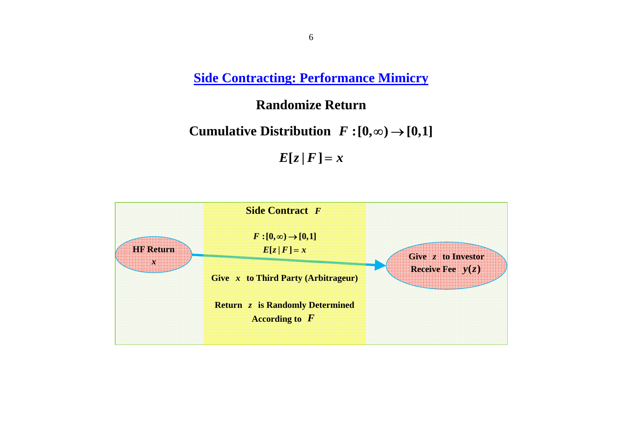**Side Contracting: Performance Mimicry**

#### **Randomize Return**

**Cumulative Distribution**  $F:[0,\infty) \rightarrow [0,1]$ 

 $E[z|F] = x$ 

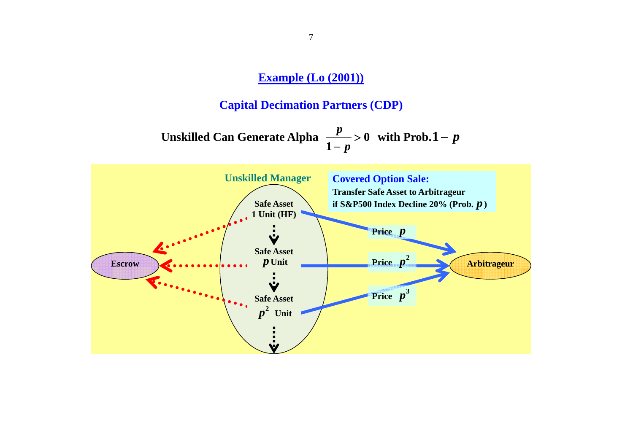### **Example (Lo (2001))**

### **Capital Decimation Partners (CDP)**

Unskilled Can Generate Alpha 
$$
\frac{p}{1-p} > 0
$$
 with Prob.1 - p

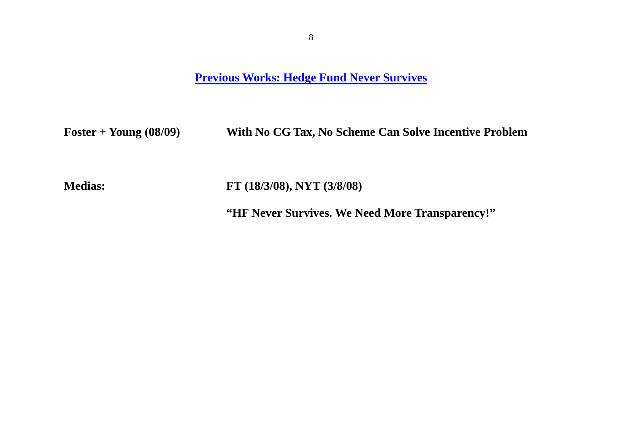**Previous Works: Hedge Fund Never Survives**

**Foster + Young (08/09) With No CG Tax, No Scheme Can Solve Incentive Problem** 

**Medias: FT (18/3/08), NYT (3/8/08)** 

**"HF Never Survives. We Need More Transparency!"**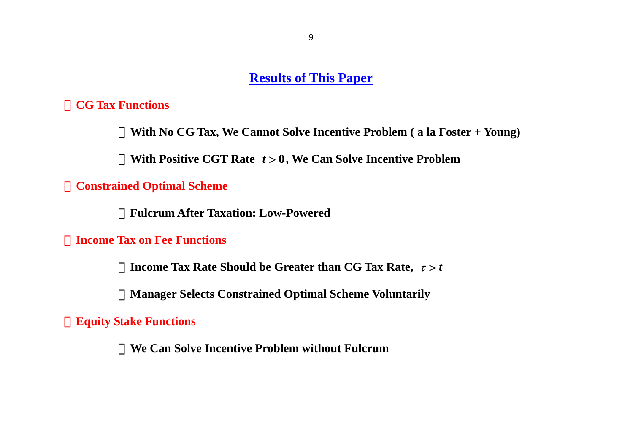#### **Results of This Paper**

#### ・**CG Tax Functions**

With No CG Tax, We Cannot Solve Incentive Problem (a la Foster + Young)

**With Positive CGT Rate**  $t > 0$ **, We Can Solve Incentive Problem** 

### ・**Constrained Optimal Scheme**

・**Fulcrum After Taxation: Low-Powered** 

#### **Income Tax on Fee Functions**

**Income Tax Rate Should be Greater than CG Tax Rate,**  $\tau > t$ 

**Manager Selects Constrained Optimal Scheme Voluntarily** 

・**Equity Stake Functions** 

**We Can Solve Incentive Problem without Fulcrum**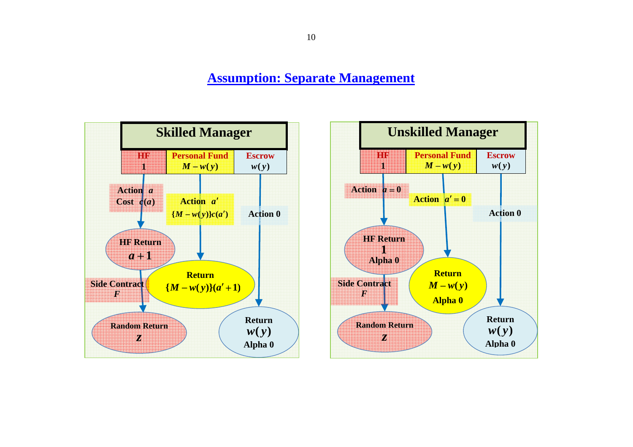**Assumption: Separate Management**



10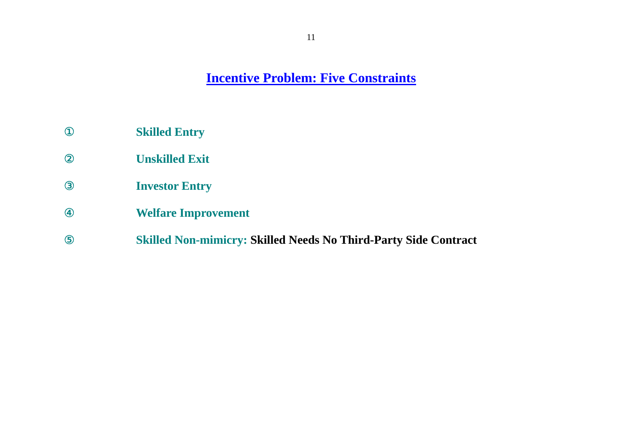**Incentive Problem: Five Constraints**

**Skilled Entry** 

**Unskilled Exit** 

<sup>③</sup> **Investor Entry** 

<sup>④</sup> **Welfare Improvement** 

⑤ **Skilled Non-mimicry: Skilled Needs No Third-Party Side Contract**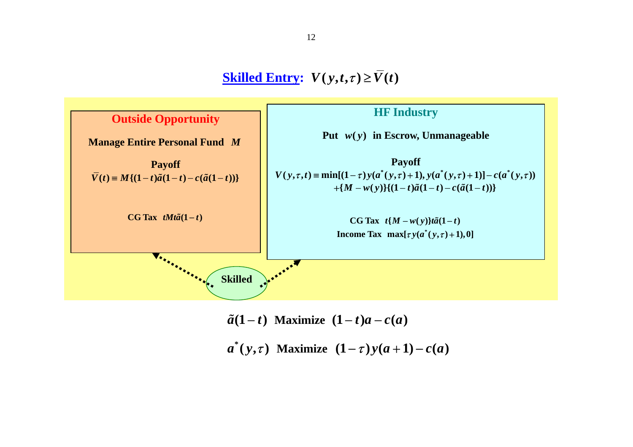**Skilled Entry:**  $V(y,t,\tau) \geq \overline{V}(t)$ 



 $\tilde{a}(1-t)$  Maximize  $(1-t)a - c(a)$ 

*a*  $^{*}(y,\tau)$  Maximize  $(1-\tau)y(a+1)-c(a)$ 

12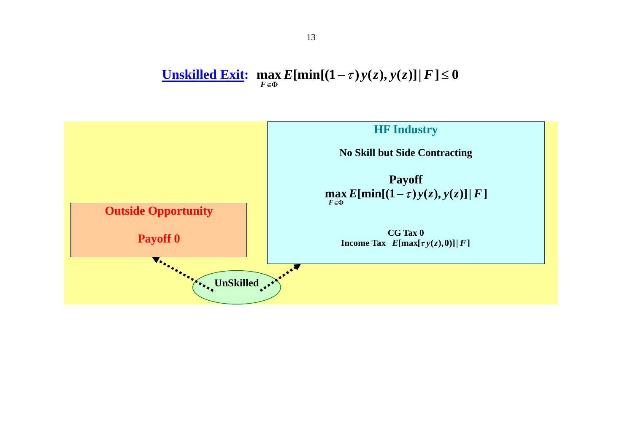#### **Unskilled Exit:**  $\max_{F \in \Phi} E[\min[(1-\tau)y(z), y(z)]|F] \le 0$  $\max_{\mathbf{z} \in \Phi} E[\min[(1-\tau)y(z), y(z)] | F] \leq$

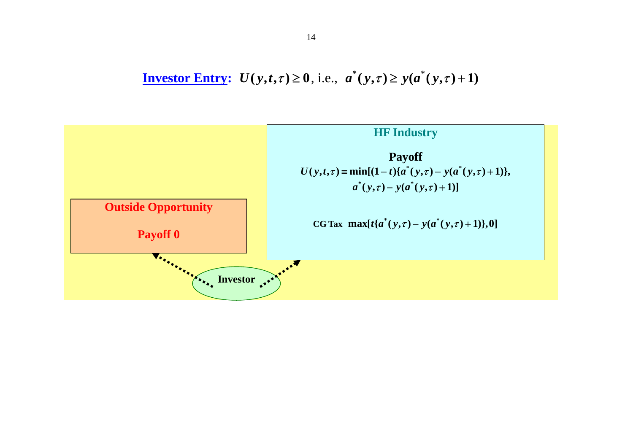**Investor Entry:**  $U(y,t,\tau) \ge 0$ , i.e.,  $a^*(y,\tau) \ge y(a^*(y,\tau)+1)$ 

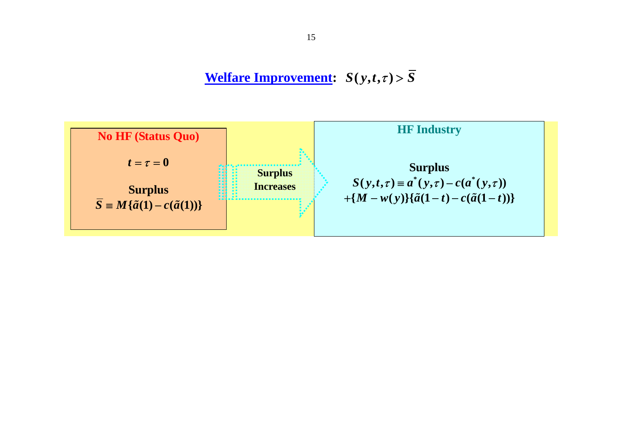**Welfare Improvement:**  $S(y,t,\tau) > \overline{S}$ 

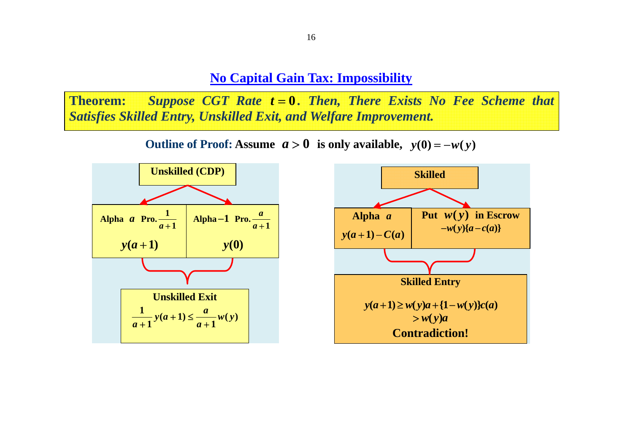**No Capital Gain Tax: Impossibility**

**Theorem:** *Suppose CGT Rate t* <sup>=</sup> **0** *. Then, There Exists No Fee Scheme that Satisfies Skilled Entry, Unskilled Exit, and Welfare Improvement.*

**Outline of Proof: Assume**  $a > 0$  is only available,  $y(0) = -w(y)$ 



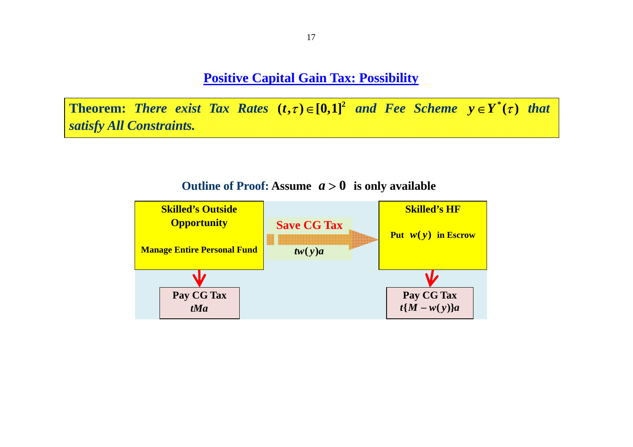**Positive Capital Gain Tax: Possibility**

**Theorem:** There exist Tax Rates  $(t, \tau) \in [0,1]^2$  and Fee Scheme  $y \in Y^*(\tau)$  that *satisfy All Constraints.* 



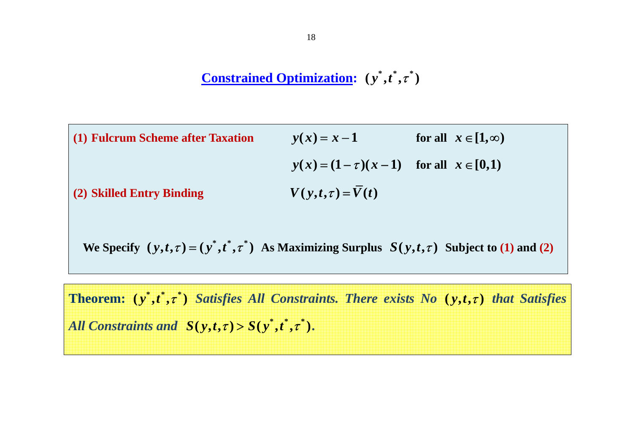## **Constrained Optimization:**  $(y^*, t^*, \tau^*)$

| (1) Fulcrum Scheme after Taxation | $y(x) = x - 1$                                   | for all $x \in [1, \infty)$ |
|-----------------------------------|--------------------------------------------------|-----------------------------|
|                                   | $y(x) = (1 - \tau)(x - 1)$ for all $x \in [0,1)$ |                             |
| (2) Skilled Entry Binding         | $V(y,t,\tau) = V(t)$                             |                             |

We Specify  $(y,t,\tau)=(y^*,t^*,\tau^*)$  As Maximizing Surplus  $S(y,t,\tau)$  Subject to (1) and (2)

**Theorem:**  $(y^*, t^*, \tau^*)$  Satisfies All Constraints. There exists No  $(y, t, \tau)$  that Satisfies All Constraints and  $S(y,t,\tau) > S(y^*,t^*,\tau^*)$ .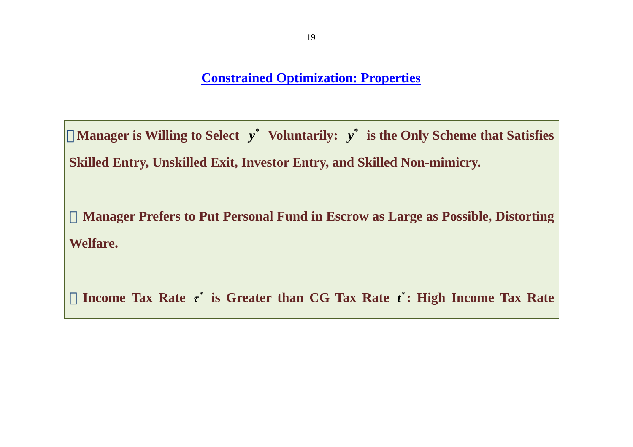### **Constrained Optimization: Properties**

・**Manager is Willing to Select \*** *<sup>y</sup>* **Voluntarily: \*** *<sup>y</sup>* **is the Only Scheme that Satisfies Skilled Entry, Unskilled Exit, Investor Entry, and Skilled Non-mimicry.**

**Manager Prefers to Put Personal Fund in Escrow as Large as Possible, Distorting Welfare.** 

**Income Tax Rate**  $\tau^*$  **is Greater than CG Tax Rate**  $t^*$ **: High Income Tax Rate**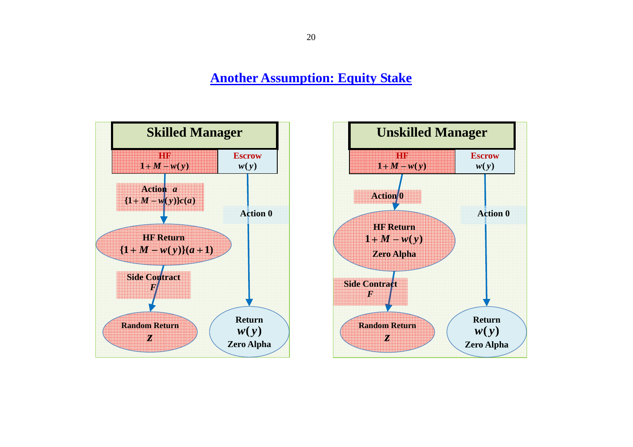**Another Assumption: Equity Stake**



20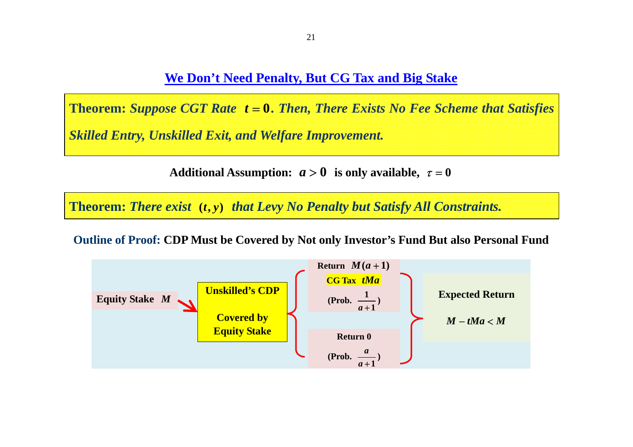**We Don't Need Penalty, But CG Tax and Big Stake**

**Theorem:** *Suppose CGT Rate t* <sup>=</sup> **0***. Then, There Exists No Fee Scheme that Satisfies Skilled Entry, Unskilled Exit, and Welfare Improvement.*

**Additional Assumption:**  $a > 0$  is only available,  $\tau = 0$ 

**Theorem: There exist (t, y) that Levy No Penalty but Satisfy All Constraints.** 

**Outline of Proof: CDP Must be Covered by Not only Investor's Fund But also Personal Fund**